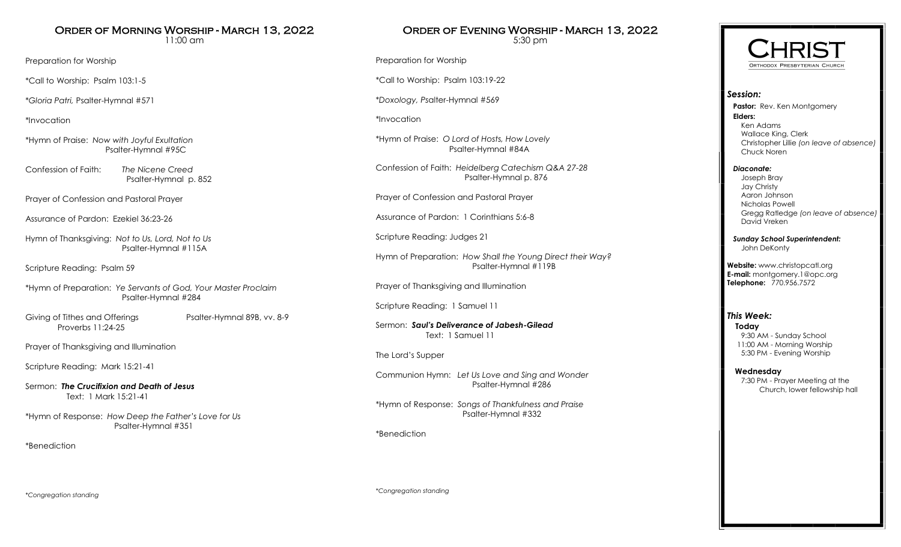# Order of Morning Worship - March 13, 2022

11:00 am

Preparation for Worship

\*Call to Worship: Psalm 103:1-5

\**Gloria Patri,* Psalter-Hymnal #571

\*Invocation

\*Hymn of Praise: *Now with Joyful Exultation* Psalter-Hymnal #95C

Confession of Faith: *The Nicene Creed* Psalter-Hymnal p. 852

Prayer of Confession and Pastoral Prayer

Assurance of Pardon: Ezekiel 36:23-26

Hymn of Thanksgiving: *Not to Us, Lord, Not to Us* Psalter-Hymnal #115A

Scripture Reading: Psalm 59

\*Hymn of Preparation: *Ye Servants of God, Your Master Proclaim* Psalter-Hymnal #284

Giving of Tithes and Offerings Psalter-Hymnal 89B, vv. 8-9 Proverbs 11:24-25

Prayer of Thanksgiving and Illumination

Scripture Reading: Mark 15:21-41

Sermon: *The Crucifixion and Death of Jesus* Text: 1 Mark 15:21-41

\*Hymn of Response: *How Deep the Father's Love for Us* Psalter-Hymnal #351

\*Benediction

Order of Evening Worship - March 13, 2022 5:30 pm

Preparation for Worship

\*Call to Worship: Psalm 103:19-22

\**Doxology, Ps*alter-Hymnal #569

\*Invocation

\*Hymn of Praise: *O Lord of Hosts, How Lovely* Psalter-Hymnal #84A

Confession of Faith: *Heidelberg Catechism Q&A 27-28* Psalter-Hymnal p. 876

Prayer of Confession and Pastoral Prayer

Assurance of Pardon: 1 Corinthians 5:6-8

Scripture Reading: Judges 21

Hymn of Preparation: *How Shall the Young Direct their Way?* Psalter-Hymnal #119B

Prayer of Thanksgiving and Illumination

Scripture Reading: 1 Samuel 11

Sermon: *Saul's Deliverance of Jabesh-Gilead* Text: 1 Samuel 11

The Lord's Supper

Communion Hymn: *Let Us Love and Sing and Wonder* Psalter-Hymnal #286

\*Hymn of Response: *Songs of Thankfulness and Praise* Psalter-Hymnal #332

\*Benediction



## *Session:*

**Pastor:** Rev. Ken Montgomery **Elders:** Ken Adams Wallace King, Clerk Christopher Lillie *(on leave of absence)* Chuck Noren

### *Diaconate:*

 Joseph Bray Jay Christy Aaron Johnson Nicholas Powell Gregg Ratledge *(on leave of absence)* David Vreken

 *Sunday School Superintendent:* John DeKonty

**Website:** www.christopcatl.org **E-mail:** montgomery.1@opc.org **Telephone:** 770.956.7572

### *This Week:*

**Today** 9:30 AM - Sunday School 11:00 AM - Morning Worship 5:30 PM - Evening Worship

### **Wednesday**

 7:30 PM - Prayer Meeting at the Church, lower fellowship hall

*\*Congregation standing*

*\*Congregation standing*